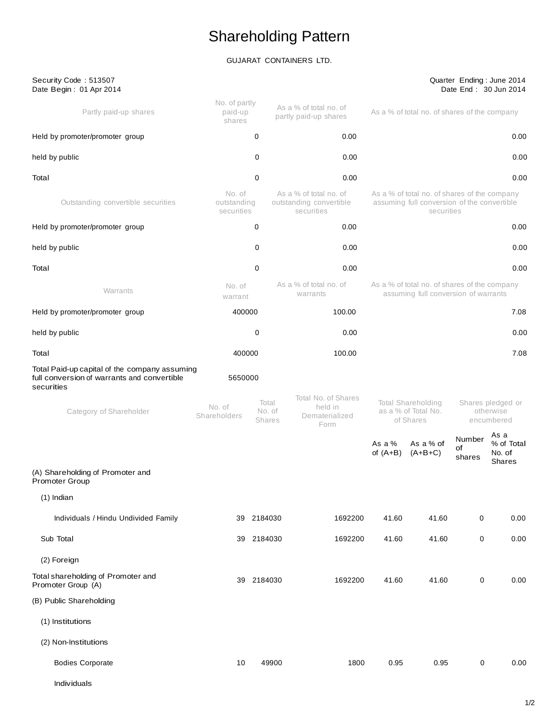# Shareholding Pattern

# GUJARAT CONTAINERS LTD.

| Security Code: 513507<br>Date Begin: 01 Apr 2014                                                           |                                     |                                  |                                                                 |                                                                                                        |                                                                                                           |                        | Quarter Ending: June 2014<br>Date End: 30 Jun 2014 |  |
|------------------------------------------------------------------------------------------------------------|-------------------------------------|----------------------------------|-----------------------------------------------------------------|--------------------------------------------------------------------------------------------------------|-----------------------------------------------------------------------------------------------------------|------------------------|----------------------------------------------------|--|
| Partly paid-up shares                                                                                      | No. of partly<br>paid-up<br>shares  |                                  | As a % of total no. of<br>partly paid-up shares                 | As a % of total no. of shares of the company                                                           |                                                                                                           |                        |                                                    |  |
| Held by promoter/promoter group                                                                            |                                     | 0                                | 0.00                                                            |                                                                                                        |                                                                                                           | 0.00                   |                                                    |  |
| held by public                                                                                             |                                     | 0                                | 0.00                                                            |                                                                                                        |                                                                                                           |                        | 0.00                                               |  |
| Total                                                                                                      |                                     | 0                                | 0.00                                                            |                                                                                                        |                                                                                                           |                        | 0.00                                               |  |
| Outstanding convertible securities                                                                         | No. of<br>outstanding<br>securities |                                  | As a % of total no. of<br>outstanding convertible<br>securities |                                                                                                        | As a % of total no. of shares of the company<br>assuming full conversion of the convertible<br>securities |                        |                                                    |  |
| Held by promoter/promoter group                                                                            |                                     | 0                                | 0.00                                                            |                                                                                                        |                                                                                                           |                        | 0.00                                               |  |
| held by public                                                                                             |                                     | 0                                | 0.00                                                            |                                                                                                        |                                                                                                           |                        | 0.00                                               |  |
| Total                                                                                                      |                                     | 0                                | 0.00                                                            |                                                                                                        |                                                                                                           |                        | 0.00                                               |  |
| Warrants                                                                                                   | No. of<br>warrant                   |                                  | As a % of total no. of<br>warrants                              |                                                                                                        | As a % of total no. of shares of the company<br>assuming full conversion of warrants                      |                        |                                                    |  |
| Held by promoter/promoter group                                                                            | 400000                              |                                  | 100.00                                                          |                                                                                                        |                                                                                                           |                        | 7.08                                               |  |
| held by public                                                                                             |                                     | 0                                | 0.00                                                            | 0.00                                                                                                   |                                                                                                           |                        |                                                    |  |
| Total                                                                                                      | 400000                              |                                  | 100.00                                                          |                                                                                                        |                                                                                                           |                        | 7.08                                               |  |
| Total Paid-up capital of the company assuming<br>full conversion of warrants and convertible<br>securities | 5650000                             |                                  |                                                                 |                                                                                                        |                                                                                                           |                        |                                                    |  |
| Category of Shareholder                                                                                    | No. of<br>Shareholders              | Total<br>No. of<br><b>Shares</b> | Total No. of Shares<br>held in<br>Dematerialized<br>Form        | Total Shareholding<br>Shares pledged or<br>as a % of Total No.<br>otherwise<br>of Shares<br>encumbered |                                                                                                           |                        |                                                    |  |
|                                                                                                            |                                     |                                  |                                                                 | As a $%$<br>of $(A+B)$                                                                                 | As a % of<br>$(A+B+C)$                                                                                    | Number<br>οf<br>shares | As a<br>% of Total<br>No. of<br>Shares             |  |
| (A) Shareholding of Promoter and<br>Promoter Group                                                         |                                     |                                  |                                                                 |                                                                                                        |                                                                                                           |                        |                                                    |  |
| $(1)$ Indian                                                                                               |                                     |                                  |                                                                 |                                                                                                        |                                                                                                           |                        |                                                    |  |
| Individuals / Hindu Undivided Family                                                                       |                                     | 39 2184030                       | 1692200                                                         | 41.60                                                                                                  | 41.60                                                                                                     | $\mathbf 0$            | 0.00                                               |  |
| Sub Total                                                                                                  |                                     | 39 2184030                       | 1692200                                                         | 41.60                                                                                                  | 41.60                                                                                                     | 0                      | 0.00                                               |  |
| (2) Foreign                                                                                                |                                     |                                  |                                                                 |                                                                                                        |                                                                                                           |                        |                                                    |  |
| Total shareholding of Promoter and<br>Promoter Group (A)                                                   | 39                                  | 2184030                          | 1692200                                                         | 41.60                                                                                                  | 41.60                                                                                                     | 0                      | 0.00                                               |  |
| (B) Public Shareholding                                                                                    |                                     |                                  |                                                                 |                                                                                                        |                                                                                                           |                        |                                                    |  |
| (1) Institutions                                                                                           |                                     |                                  |                                                                 |                                                                                                        |                                                                                                           |                        |                                                    |  |
| (2) Non-Institutions                                                                                       |                                     |                                  |                                                                 |                                                                                                        |                                                                                                           |                        |                                                    |  |
| <b>Bodies Corporate</b>                                                                                    | 10                                  | 49900                            | 1800                                                            | 0.95                                                                                                   | 0.95                                                                                                      | 0                      | 0.00                                               |  |
|                                                                                                            |                                     |                                  |                                                                 |                                                                                                        |                                                                                                           |                        |                                                    |  |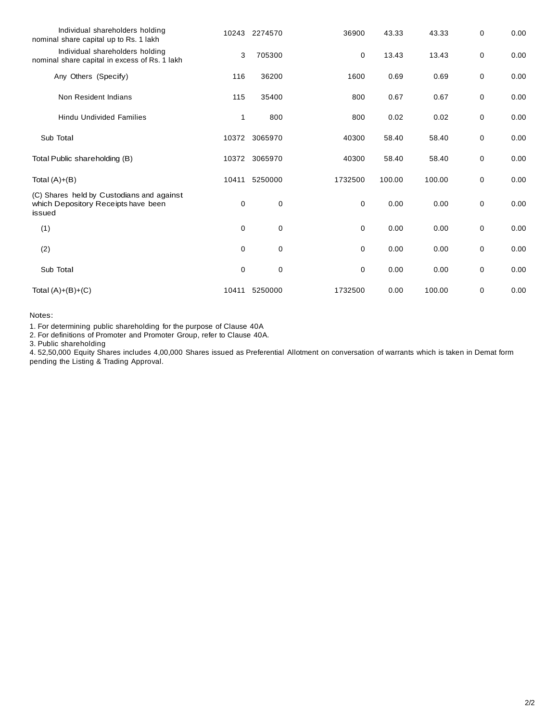| Individual shareholders holding<br>nominal share capital up to Rs. 1 lakh                  |             | 10243 2274570 | 36900       | 43.33  | 43.33  | 0 | 0.00 |
|--------------------------------------------------------------------------------------------|-------------|---------------|-------------|--------|--------|---|------|
| Individual shareholders holding<br>nominal share capital in excess of Rs. 1 lakh           | 3           | 705300        | 0           | 13.43  | 13.43  | 0 | 0.00 |
| Any Others (Specify)                                                                       | 116         | 36200         | 1600        | 0.69   | 0.69   | 0 | 0.00 |
| Non Resident Indians                                                                       | 115         | 35400         | 800         | 0.67   | 0.67   | 0 | 0.00 |
| <b>Hindu Undivided Families</b>                                                            | 1           | 800           | 800         | 0.02   | 0.02   | 0 | 0.00 |
| Sub Total                                                                                  |             | 10372 3065970 | 40300       | 58.40  | 58.40  | 0 | 0.00 |
| Total Public shareholding (B)                                                              |             | 10372 3065970 | 40300       | 58.40  | 58.40  | 0 | 0.00 |
| Total $(A)+(B)$                                                                            | 10411       | 5250000       | 1732500     | 100.00 | 100.00 | 0 | 0.00 |
| (C) Shares held by Custodians and against<br>which Depository Receipts have been<br>issued | 0           | 0             | $\mathbf 0$ | 0.00   | 0.00   | 0 | 0.00 |
| (1)                                                                                        | $\mathbf 0$ | $\mathbf 0$   | $\mathbf 0$ | 0.00   | 0.00   | 0 | 0.00 |
| (2)                                                                                        | $\mathbf 0$ | $\mathbf 0$   | 0           | 0.00   | 0.00   | 0 | 0.00 |
| Sub Total                                                                                  | 0           | $\mathbf 0$   | 0           | 0.00   | 0.00   | 0 | 0.00 |
| Total $(A)+(B)+(C)$                                                                        | 10411       | 5250000       | 1732500     | 0.00   | 100.00 | 0 | 0.00 |

Notes:

1. For determining public shareholding for the purpose of Clause 40A

2. For definitions of Promoter and Promoter Group, refer to Clause 40A.

3. Public shareholding

4. 52,50,000 Equity Shares includes 4,00,000 Shares issued as Preferential Allotment on conversation of warrants which is taken in Demat form pending the Listing & Trading Approval.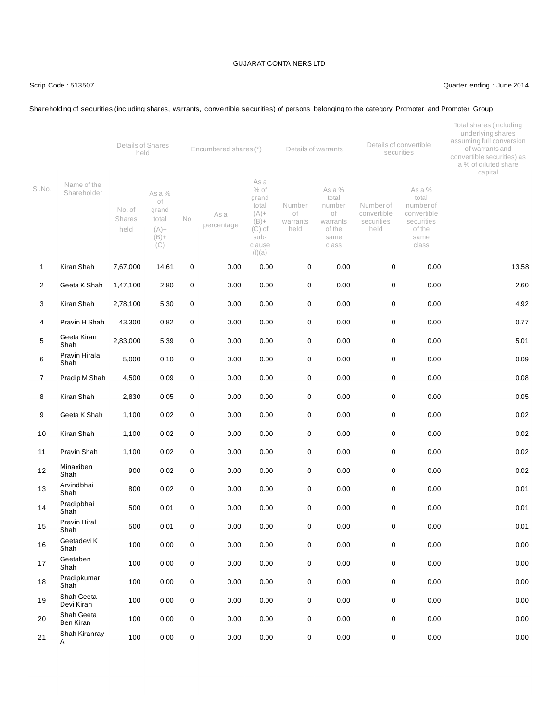# Scrip Code : 513507 Quarter ending : June 2014

# Shareholding of securities (including shares, warrants, convertible securities) of persons belonging to the category Promoter and Promoter Group

|                |                            | Details of Shares<br>held |                                           | Encumbered shares (*) |                    |                                                                    | Details of warrants              |                                                       | Details of convertible<br>securities          |                                                                     | Total shares (including<br>underlying shares<br>assuming full conversion<br>of warrants and<br>convertible securities) as<br>a % of diluted share<br>capital |  |
|----------------|----------------------------|---------------------------|-------------------------------------------|-----------------------|--------------------|--------------------------------------------------------------------|----------------------------------|-------------------------------------------------------|-----------------------------------------------|---------------------------------------------------------------------|--------------------------------------------------------------------------------------------------------------------------------------------------------------|--|
| SI.No.         | Name of the<br>Shareholder | No. of<br>Shares<br>held  | As a %<br>of<br>grand<br>total<br>$(A) +$ | <b>No</b>             | As a<br>percentage | As a<br>$%$ of<br>grand<br>total<br>$(A) +$<br>$(B) +$<br>$(C)$ of | Number<br>οf<br>warrants<br>held | As a %<br>total<br>number<br>of<br>warrants<br>of the | Numberof<br>convertible<br>securities<br>held | As a %<br>total<br>number of<br>convertible<br>securities<br>of the |                                                                                                                                                              |  |
|                |                            |                           | $(B) +$<br>(C)                            |                       |                    | sub-<br>clause<br>(I)(a)                                           |                                  | same<br>class                                         |                                               | same<br>class                                                       |                                                                                                                                                              |  |
| $\mathbf{1}$   | Kiran Shah                 | 7,67,000                  | 14.61                                     | $\mathbf 0$           | 0.00               | 0.00                                                               | $\mathbf 0$                      | 0.00                                                  | 0                                             | 0.00                                                                | 13.58                                                                                                                                                        |  |
| 2              | Geeta K Shah               | 1,47,100                  | 2.80                                      | 0                     | 0.00               | 0.00                                                               | $\pmb{0}$                        | 0.00                                                  | 0                                             | 0.00                                                                | 2.60                                                                                                                                                         |  |
| 3              | Kiran Shah                 | 2,78,100                  | 5.30                                      | 0                     | 0.00               | 0.00                                                               | $\mathbf 0$                      | 0.00                                                  | $\mathbf 0$                                   | 0.00                                                                | 4.92                                                                                                                                                         |  |
| 4              | Pravin H Shah              | 43,300                    | 0.82                                      | 0                     | 0.00               | 0.00                                                               | $\pmb{0}$                        | 0.00                                                  | 0                                             | 0.00                                                                | 0.77                                                                                                                                                         |  |
| 5              | Geeta Kiran<br>Shah        | 2,83,000                  | 5.39                                      | 0                     | 0.00               | 0.00                                                               | $\pmb{0}$                        | 0.00                                                  | $\mathsf 0$                                   | 0.00                                                                | 5.01                                                                                                                                                         |  |
| 6              | Pravin Hiralal<br>Shah     | 5,000                     | 0.10                                      | $\mathbf 0$           | 0.00               | 0.00                                                               | $\mathbf 0$                      | 0.00                                                  | 0                                             | 0.00                                                                | 0.09                                                                                                                                                         |  |
| $\overline{7}$ | Pradip M Shah              | 4,500                     | 0.09                                      | 0                     | 0.00               | 0.00                                                               | $\pmb{0}$                        | 0.00                                                  | $\mathbf 0$                                   | 0.00                                                                | 0.08                                                                                                                                                         |  |
| 8              | Kiran Shah                 | 2,830                     | 0.05                                      | 0                     | 0.00               | 0.00                                                               | $\pmb{0}$                        | 0.00                                                  | 0                                             | 0.00                                                                | 0.05                                                                                                                                                         |  |
| 9              | Geeta K Shah               | 1,100                     | 0.02                                      | 0                     | 0.00               | 0.00                                                               | $\pmb{0}$                        | 0.00                                                  | 0                                             | 0.00                                                                | 0.02                                                                                                                                                         |  |
| 10             | Kiran Shah                 | 1,100                     | 0.02                                      | 0                     | 0.00               | 0.00                                                               | $\mathbf 0$                      | 0.00                                                  | 0                                             | 0.00                                                                | 0.02                                                                                                                                                         |  |
| 11             | Pravin Shah                | 1,100                     | 0.02                                      | $\mathbf 0$           | 0.00               | 0.00                                                               | $\mathbf 0$                      | 0.00                                                  | 0                                             | 0.00                                                                | 0.02                                                                                                                                                         |  |
| 12             | Minaxiben<br>Shah          | 900                       | 0.02                                      | 0                     | 0.00               | 0.00                                                               | $\pmb{0}$                        | 0.00                                                  | 0                                             | 0.00                                                                | 0.02                                                                                                                                                         |  |
| 13             | Arvindbhai<br>Shah         | 800                       | 0.02                                      | 0                     | 0.00               | 0.00                                                               | $\mathbf 0$                      | 0.00                                                  | 0                                             | 0.00                                                                | 0.01                                                                                                                                                         |  |
| 14             | Pradipbhai<br>Shah         | 500                       | 0.01                                      | 0                     | 0.00               | 0.00                                                               | $\pmb{0}$                        | 0.00                                                  | 0                                             | 0.00                                                                | 0.01                                                                                                                                                         |  |
| 15             | Pravin Hiral<br>Shah       | 500                       | 0.01                                      | 0                     | 0.00               | 0.00                                                               | $\pmb{0}$                        | 0.00                                                  | 0                                             | 0.00                                                                | 0.01                                                                                                                                                         |  |
| 16             | Geetadevi K<br>Shah        | 100                       | 0.00                                      | 0                     | 0.00               | 0.00                                                               | $\pmb{0}$                        | 0.00                                                  | 0                                             | 0.00                                                                | 0.00                                                                                                                                                         |  |
| 17             | Geetaben<br>Shah           | 100                       | 0.00                                      | 0                     | 0.00               | 0.00                                                               | $\pmb{0}$                        | 0.00                                                  | $\pmb{0}$                                     | 0.00                                                                | 0.00                                                                                                                                                         |  |
| 18             | Pradipkumar<br>Shah        | 100                       | 0.00                                      | $\mathbf 0$           | 0.00               | 0.00                                                               | $\pmb{0}$                        | 0.00                                                  | 0                                             | 0.00                                                                | 0.00                                                                                                                                                         |  |
| 19             | Shah Geeta<br>Devi Kiran   | 100                       | 0.00                                      | $\mathbf 0$           | 0.00               | 0.00                                                               | $\pmb{0}$                        | 0.00                                                  | $\pmb{0}$                                     | 0.00                                                                | 0.00                                                                                                                                                         |  |
| 20             | Shah Geeta<br>Ben Kiran    | 100                       | 0.00                                      | 0                     | 0.00               | 0.00                                                               | $\pmb{0}$                        | 0.00                                                  | 0                                             | 0.00                                                                | 0.00                                                                                                                                                         |  |
| 21             | Shah Kiranray<br>Α         | 100                       | 0.00                                      | $\mathbf 0$           | 0.00               | $0.00\,$                                                           | $\pmb{0}$                        | 0.00                                                  | 0                                             | 0.00                                                                | 0.00                                                                                                                                                         |  |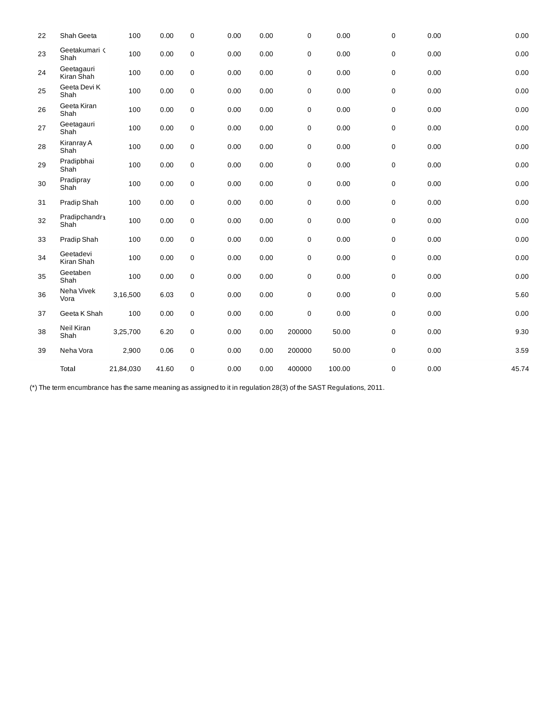| 22 | Shah Geeta               | 100       | 0.00  | $\mathbf 0$      | 0.00 | 0.00 | $\mathbf 0$ | 0.00   | 0 | 0.00 | 0.00     |
|----|--------------------------|-----------|-------|------------------|------|------|-------------|--------|---|------|----------|
| 23 | Geetakumari <<br>Shah    | 100       | 0.00  | $\boldsymbol{0}$ | 0.00 | 0.00 | 0           | 0.00   | 0 | 0.00 | 0.00     |
| 24 | Geetagauri<br>Kiran Shah | 100       | 0.00  | $\pmb{0}$        | 0.00 | 0.00 | 0           | 0.00   | 0 | 0.00 | 0.00     |
| 25 | Geeta Devi K<br>Shah     | 100       | 0.00  | $\boldsymbol{0}$ | 0.00 | 0.00 | 0           | 0.00   | 0 | 0.00 | 0.00     |
| 26 | Geeta Kiran<br>Shah      | 100       | 0.00  | $\boldsymbol{0}$ | 0.00 | 0.00 | 0           | 0.00   | 0 | 0.00 | 0.00     |
| 27 | Geetagauri<br>Shah       | 100       | 0.00  | $\pmb{0}$        | 0.00 | 0.00 | 0           | 0.00   | 0 | 0.00 | $0.00\,$ |
| 28 | Kiranray A<br>Shah       | 100       | 0.00  | $\pmb{0}$        | 0.00 | 0.00 | 0           | 0.00   | 0 | 0.00 | 0.00     |
| 29 | Pradipbhai<br>Shah       | 100       | 0.00  | $\boldsymbol{0}$ | 0.00 | 0.00 | 0           | 0.00   | 0 | 0.00 | 0.00     |
| 30 | Pradipray<br>Shah        | 100       | 0.00  | $\pmb{0}$        | 0.00 | 0.00 | 0           | 0.00   | 0 | 0.00 | 0.00     |
| 31 | Pradip Shah              | 100       | 0.00  | $\boldsymbol{0}$ | 0.00 | 0.00 | 0           | 0.00   | 0 | 0.00 | 0.00     |
| 32 | Pradipchandra<br>Shah    | 100       | 0.00  | $\boldsymbol{0}$ | 0.00 | 0.00 | 0           | 0.00   | 0 | 0.00 | 0.00     |
| 33 | Pradip Shah              | 100       | 0.00  | $\pmb{0}$        | 0.00 | 0.00 | 0           | 0.00   | 0 | 0.00 | 0.00     |
| 34 | Geetadevi<br>Kiran Shah  | 100       | 0.00  | $\pmb{0}$        | 0.00 | 0.00 | 0           | 0.00   | 0 | 0.00 | $0.00\,$ |
| 35 | Geetaben<br>Shah         | 100       | 0.00  | $\boldsymbol{0}$ | 0.00 | 0.00 | 0           | 0.00   | 0 | 0.00 | 0.00     |
| 36 | Neha Vivek<br>Vora       | 3,16,500  | 6.03  | 0                | 0.00 | 0.00 | 0           | 0.00   | 0 | 0.00 | 5.60     |
| 37 | Geeta K Shah             | 100       | 0.00  | $\boldsymbol{0}$ | 0.00 | 0.00 | $\mathbf 0$ | 0.00   | 0 | 0.00 | 0.00     |
| 38 | Neil Kiran<br>Shah       | 3,25,700  | 6.20  | $\boldsymbol{0}$ | 0.00 | 0.00 | 200000      | 50.00  | 0 | 0.00 | 9.30     |
| 39 | Neha Vora                | 2,900     | 0.06  | $\boldsymbol{0}$ | 0.00 | 0.00 | 200000      | 50.00  | 0 | 0.00 | 3.59     |
|    | Total                    | 21,84,030 | 41.60 | $\mathbf 0$      | 0.00 | 0.00 | 400000      | 100.00 | 0 | 0.00 | 45.74    |

(\*) The term encumbrance has the same meaning as assigned to it in regulation 28(3) of the SAST Regulations, 2011.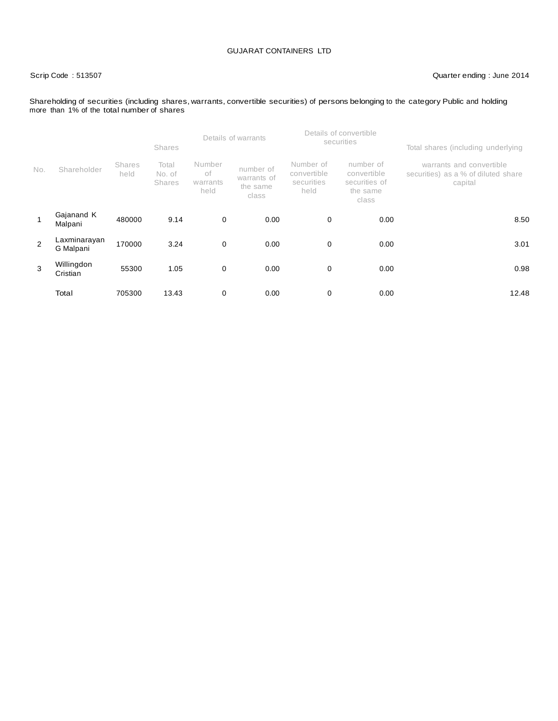### Scrip Code : 513507 Quarter ending : June 2014

#### Shareholding of securities (including shares, warrants, convertible securities) of persons belonging to the category Public and holding more than 1% of the total number of shares

|                |                           |                       | <b>Shares</b>                    |                                  | Details of warrants                           |                                                | Details of convertible<br>securities                           | Total shares (including underlying                                         |  |  |
|----------------|---------------------------|-----------------------|----------------------------------|----------------------------------|-----------------------------------------------|------------------------------------------------|----------------------------------------------------------------|----------------------------------------------------------------------------|--|--|
| No.            | Shareholder               | <b>Shares</b><br>held | Total<br>No. of<br><b>Shares</b> | Number<br>оf<br>warrants<br>held | number of<br>warrants of<br>the same<br>class | Number of<br>convertible<br>securities<br>held | number of<br>convertible<br>securities of<br>the same<br>class | warrants and convertible<br>securities) as a % of diluted share<br>capital |  |  |
|                | Gajanand K<br>Malpani     | 480000                | 9.14                             | $\mathbf 0$                      | 0.00                                          | 0                                              | 0.00                                                           | 8.50                                                                       |  |  |
| $\overline{2}$ | Laxminarayan<br>G Malpani | 170000                | 3.24                             | $\mathbf 0$                      | 0.00                                          | 0                                              | 0.00                                                           | 3.01                                                                       |  |  |
| 3              | Willingdon<br>Cristian    | 55300                 | 1.05                             | $\mathbf 0$                      | 0.00                                          | 0                                              | 0.00                                                           | 0.98                                                                       |  |  |
|                | Total                     | 705300                | 13.43                            | 0                                | 0.00                                          | 0                                              | 0.00                                                           | 12.48                                                                      |  |  |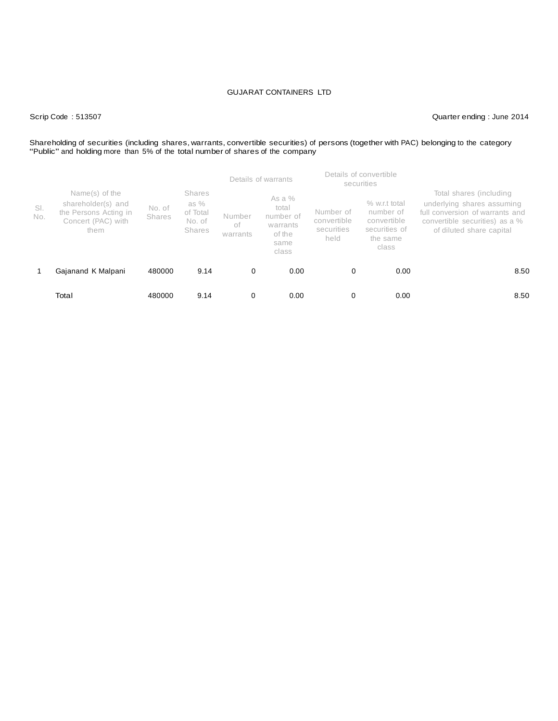Scrip Code : 513507 Quarter ending : June 2014

# Shareholding of securities (including shares, warrants, convertible securities) of persons (together with PAC) belonging to the category<br>"Public" and holding more than 5% of the total number of shares of the company

|            |                                                                                             |                         |                                                              |                          | Details of warrants                                                   |                                                | Details of convertible<br>securities                                              |                                                                                                                                                        |
|------------|---------------------------------------------------------------------------------------------|-------------------------|--------------------------------------------------------------|--------------------------|-----------------------------------------------------------------------|------------------------------------------------|-----------------------------------------------------------------------------------|--------------------------------------------------------------------------------------------------------------------------------------------------------|
| SI.<br>No. | Name(s) of the<br>shareholder(s) and<br>the Persons Acting in<br>Concert (PAC) with<br>them | No. of<br><b>Shares</b> | <b>Shares</b><br>as %<br>of Total<br>No. of<br><b>Shares</b> | Number<br>оf<br>warrants | As a $%$<br>total<br>number of<br>warrants<br>of the<br>same<br>class | Number of<br>convertible<br>securities<br>held | $%$ w.r.t total<br>number of<br>convertible<br>securities of<br>the same<br>class | Total shares (including<br>underlying shares assuming<br>full conversion of warrants and<br>convertible securities) as a %<br>of diluted share capital |
|            | Gajanand K Malpani                                                                          | 480000                  | 9.14                                                         | 0                        | 0.00                                                                  | 0                                              | 0.00                                                                              | 8.50                                                                                                                                                   |
|            | Total                                                                                       | 480000                  | 9.14                                                         | 0                        | 0.00                                                                  | 0                                              | 0.00                                                                              | 8.50                                                                                                                                                   |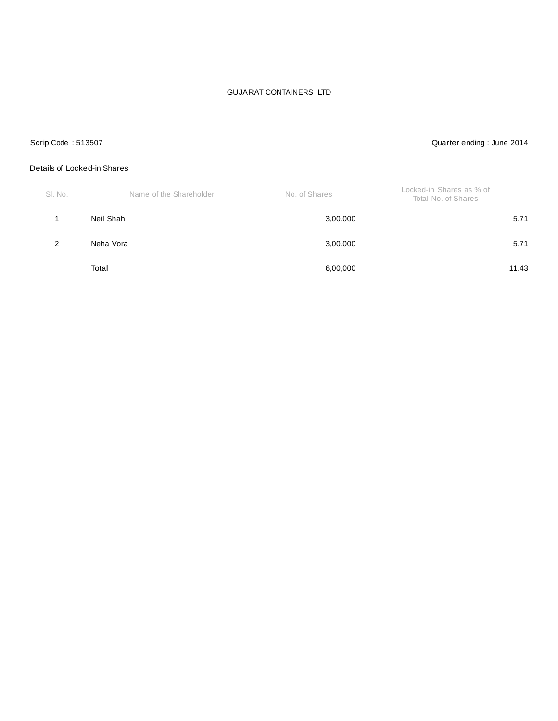### Scrip Code : 513507 Quarter ending : June 2014

#### Details of Locked-in Shares

| SI. No. | Name of the Shareholder | No. of Shares | Locked-in Shares as % of<br>Total No. of Shares |
|---------|-------------------------|---------------|-------------------------------------------------|
|         | Neil Shah               | 3,00,000      | 5.71                                            |
| 2       | Neha Vora               | 3,00,000      | 5.71                                            |
|         | Total                   | 6,00,000      | 11.43                                           |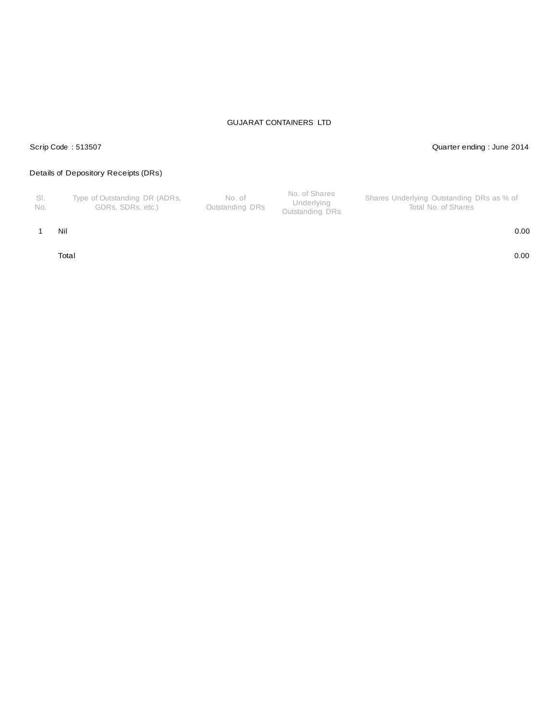# Scrip Code : 513507 Quarter ending : June 2014

# Details of Depository Receipts (DRs)

| - SI.<br>No. | Type of Outstanding DR (ADRs,<br>GDRs. SDRs. etc.) | No. of<br>Outstanding DRs | No. of Shares<br>Underlying<br>Outstanding DRs | Shares Underlying Outstanding DRs as % of<br>Total No. of Shares |
|--------------|----------------------------------------------------|---------------------------|------------------------------------------------|------------------------------------------------------------------|
|--------------|----------------------------------------------------|---------------------------|------------------------------------------------|------------------------------------------------------------------|

1 Nil 0.00

Total 0.00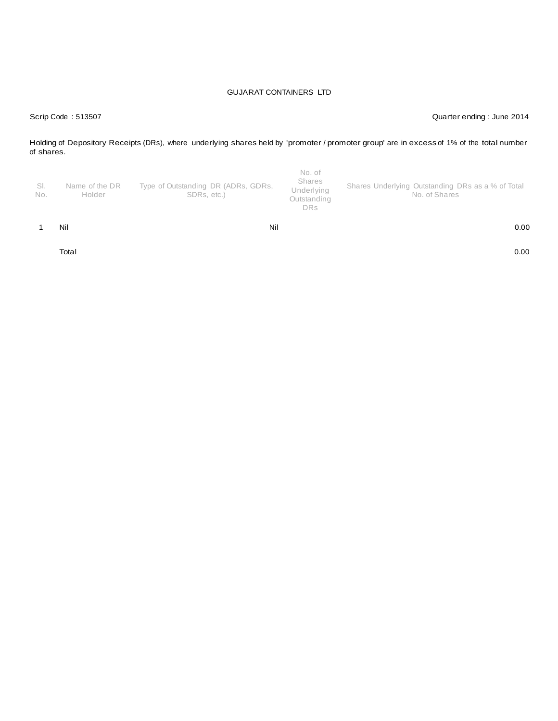Scrip Code : 513507 Quarter ending : June 2014

Holding of Depository Receipts (DRs), where underlying shares held by 'promoter / promoter group' are in excess of 1% of the total number of shares.

| SI.<br>No. | Name of the DR<br>Holder | Type of Outstanding DR (ADRs, GDRs,<br>SDRs, etc.) | No. of<br>Shares<br>Underlying<br>Outstanding<br><b>DRs</b> | Shares Underlying Outstanding DRs as a % of Total<br>No. of Shares |
|------------|--------------------------|----------------------------------------------------|-------------------------------------------------------------|--------------------------------------------------------------------|
|            | Nil                      | Nil                                                |                                                             | 0.00                                                               |
|            | Total                    |                                                    |                                                             | 0.00                                                               |